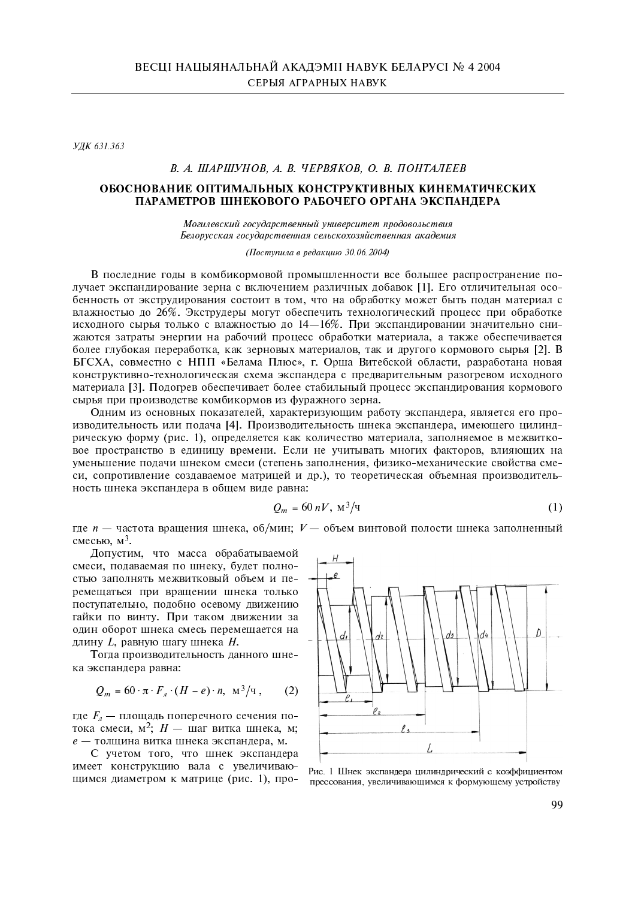УДК 631.363

# В. А. ШАРШУНОВ, А. В. ЧЕРВЯКОВ, О. В. ПОНТАЛЕЕВ

# ОБОСНОВАНИЕ ОПТИМАЛЬНЫХ КОНСТРУКТИВНЫХ КИНЕМАТИЧЕСКИХ ПАРАМЕТРОВ ШНЕКОВОГО РАБОЧЕГО ОРГАНА ЭКСПАНЛЕРА

Могилевский государственный университет продовольствия Белорусская государственная сельскохозяйственная академия

(Поступила в редакцию 30.06.2004)

В последние годы в комбикормовой промышленности все большее распространение получает экспандирование зерна с включением различных добавок [1]. Его отличительная особенность от экструдирования состоит в том, что на обработку может быть подан материал с влажностью до 26%. Экструдеры могут обеспечить технологический процесс при обработке исходного сырья только с влажностью до 14-16%. При экспандировании значительно снижаются затраты энергии на рабочий процесс обработки материала, а также обеспечивается более глубокая переработка, как зерновых материалов, так и другого кормового сырья [2]. В БГСХА, совместно с НПП «Белама Плюс», г. Орша Витебской области, разработана новая конструктивно-технологическая схема экспандера с предварительным разогревом исходного материала [3]. Подогрев обеспечивает более стабильный процесс экспандирования кормового сырья при производстве комбикормов из фуражного зерна.

Одним из основных показателей, характеризующим работу экспандера, является его производительность или подача [4]. Производительность шнека экспандера, имеющего цилиндрическую форму (рис. 1), определяется как количество материала, заполняемое в межвитковое пространство в единицу времени. Если не учитывать многих факторов, влияющих на уменьшение подачи шнеком смеси (степень заполнения, физико-механические свойства смеси, сопротивление создаваемое матрицей и др.), то теоретическая объемная производительность шнека экспандера в общем виде равна:

$$
Q_m = 60 \, nV, \, \mathrm{M}^3/\mathrm{q} \tag{1}
$$

где  $n$  — частота вращения шнека, об/мин;  $V$  — объем винтовой полости шнека заполненный смесью.  $M^3$ .

Допустим, что масса обрабатываемой смеси, подаваемая по шнеку, будет полностью заполнять межвитковый объем и перемещаться при вращении шнека только поступательно, подобно осевому движению гайки по винту. При таком движении за олин оборот шнека смесь перемешается на длину L, равную шагу шнека H.

Тогда производительность данного шнека экспандера равна:

$$
Q_m = 60 \cdot \pi \cdot F_a \cdot (H - e) \cdot n, \ \mathrm{m}^3/\mathrm{q} \ , \qquad (2)
$$

где  $F_a$  — площадь поперечного сечения потока смеси,  $M^2$ ;  $H -$  шаг витка шнека, м; е - толщина витка шнека экспандера, м.

С учетом того, что шнек экспандера имеет конструкцию вала с увеличивающимся диаметром к матрице (рис. 1), про-



Рис. 1 Шнек экспандера цилиндрический с коэффициентом прессования, увеличивающимся к формующему устройству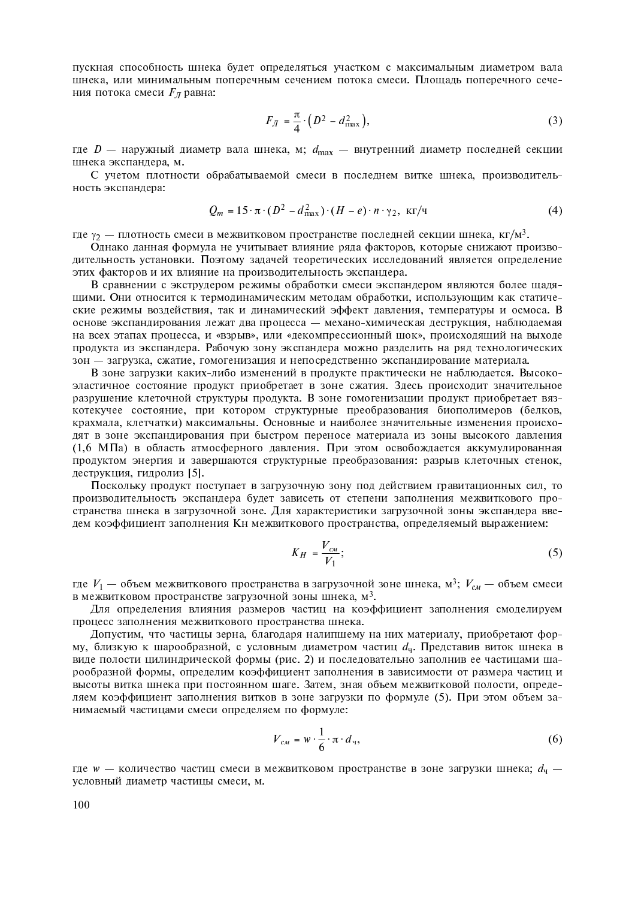пускная способность шнека будет определяться участком с максимальным диаметром вала шнека, или минимальным поперечным сечением потока смеси. Площадь поперечного сечения потока смеси  $F_{\pi}$  равна:

$$
F_{\Lambda} = \frac{\pi}{4} \cdot \left( D^2 - d_{\text{max}}^2 \right),\tag{3}
$$

где  $D$  — наружный диаметр вала шнека, м;  $d_{\text{max}}$  — внутренний диаметр последней секции шнека экспандера, м.

С учетом плотности обрабатываемой смеси в последнем витке шнека, производительность экспандера:

$$
Q_m = 15 \cdot \pi \cdot (D^2 - d_{\text{max}}^2) \cdot (H - e) \cdot n \cdot \gamma_2, \text{ kT/T}
$$
 (4)

где  $\gamma_2$  — плотность смеси в межвитковом пространстве последней секции шнека, кг/м<sup>3</sup>.

Однако данная формула не учитывает влияние ряда факторов, которые снижают производительность установки. Поэтому задачей теоретических исследований является определение этих факторов и их влияние на производительность экспандера.

В сравнении с экструдером режимы обработки смеси экспандером являются более щадящими. Они относится к термодинамическим методам обработки, использующим как статические режимы воздействия, так и динамический эффект давления, температуры и осмоса. В основе экспандирования лежат два процесса - механо-химическая деструкция, наблюдаемая на всех этапах процесса, и «взрыв», или «декомпрессионный шок», происходящий на выходе продукта из экспандера. Рабочую зону экспандера можно разделить на ряд технологических зон - загрузка, сжатие, гомогенизация и непосредственно экспандирование материала.

В зоне загрузки каких-либо изменений в продукте практически не наблюдается. Высокоэластичное состояние продукт приобретает в зоне сжатия. Здесь происходит значительное разрушение клеточной структуры продукта. В зоне гомогенизации продукт приобретает вязкотекучее состояние, при котором структурные преобразования биополимеров (белков, крахмала, клетчатки) максимальны. Основные и наиболее значительные изменения происходят в зоне экспандирования при быстром переносе материала из зоны высокого давления (1,6 МПа) в область атмосферного давления. При этом освобождается аккумулированная продуктом энергия и завершаются структурные преобразования: разрыв клеточных стенок, деструкция, гидролиз [5].

Поскольку продукт поступает в загрузочную зону под действием гравитационных сил, то производительность экспандера будет зависеть от степени заполнения межвиткового пространства шнека в загрузочной зоне. Для характеристики загрузочной зоны экспандера введем коэффициент заполнения Кн межвиткового пространства, определяемый выражением:

$$
K_H = \frac{V_{cM}}{V_1};\tag{5}
$$

где  $V_1$  — объем межвиткового пространства в загрузочной зоне шнека, м<sup>3</sup>;  $V_{cM}$  — объем смеси в межвитковом пространстве загрузочной зоны шнека,  $M^3$ .

Для определения влияния размеров частиц на коэффициент заполнения смоделируем процесс заполнения межвиткового пространства шнека.

Допустим, что частицы зерна, благодаря налипшему на них материалу, приобретают форму, близкую к шарообразной, с условным диаметром частиц  $d_q$ . Представив виток шнека в виде полости цилиндрической формы (рис. 2) и последовательно заполнив ее частицами шарообразной формы, определим коэффициент заполнения в зависимости от размера частиц и высоты витка шнека при постоянном шаге. Затем, зная объем межвитковой полости, определяем коэффициент заполнения витков в зоне загрузки по формуле (5). При этом объем занимаемый частицами смеси определяем по формуле:

$$
V_{cM} = w \cdot \frac{1}{6} \cdot \pi \cdot d_{\mathfrak{q}},\tag{6}
$$

где  $w$  — количество частиц смеси в межвитковом пространстве в зоне загрузки шнека;  $d_u$  условный диаметр частицы смеси, м.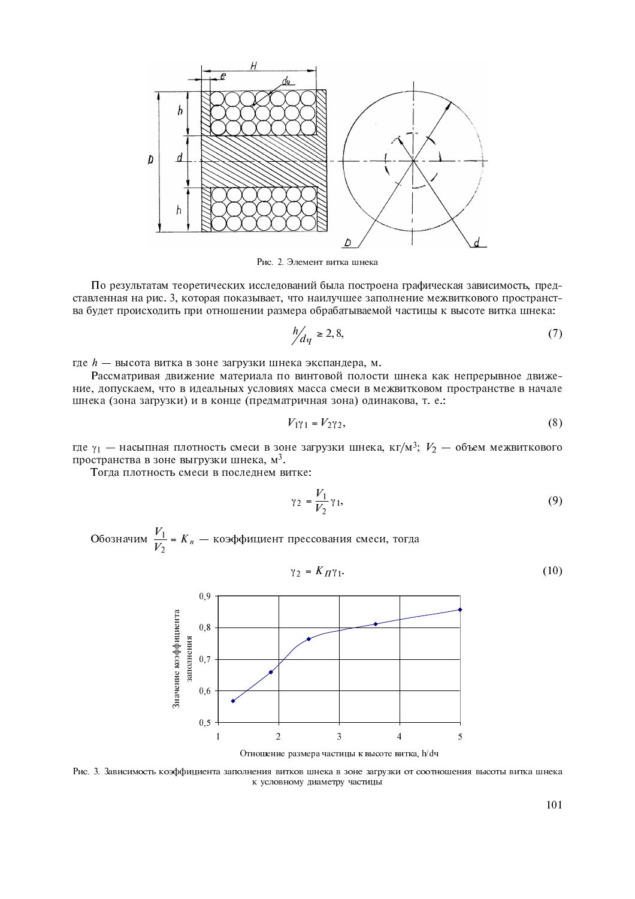

Рис. 2. Элемент витка шнека

По результатам теоретических исследований была построена графическая зависимость, представленная на рис. 3, которая показывает, что наилучшее заполнение межвиткового пространства будет происходить при отношении размера обрабатываемой частицы к высоте витка шнека:

$$
\frac{h}{dq} \ge 2, 8,\tag{7}
$$

где h - высота витка в зоне загрузки шнека экспандера, м.

Рассматривая движение материала по винтовой полости шнека как непрерывное движение, допускаем, что в идеальных условиях масса смеси в межвитковом пространстве в начале шнека (зона загрузки) и в конце (предматричная зона) одинакова, т. е.:

$$
V_{1}\gamma_1 = V_2\gamma_2,\tag{8}
$$

где  $\gamma_1$  — насыпная плотность смеси в зоне загрузки шнека, кг/м<sup>3</sup>;  $V_2$  — объем межвиткового пространства в зоне выгрузки шнека, м<sup>3</sup>.

Тогда плотность смеси в последнем витке:

$$
\gamma_2 = \frac{V_1}{V_2} \gamma_1,\tag{9}
$$

Обозначим  $\frac{V_1}{V_2}$  =  $K_n$  — коэффициент прессования смеси, тогда

$$
\gamma_2 = K_{\Pi} \gamma_1. \tag{10}
$$



Рис. 3. Зависимость коэффициента заполнения витков шнека в зоне загрузки от соотношения высоты витка шнека к условному диаметру частицы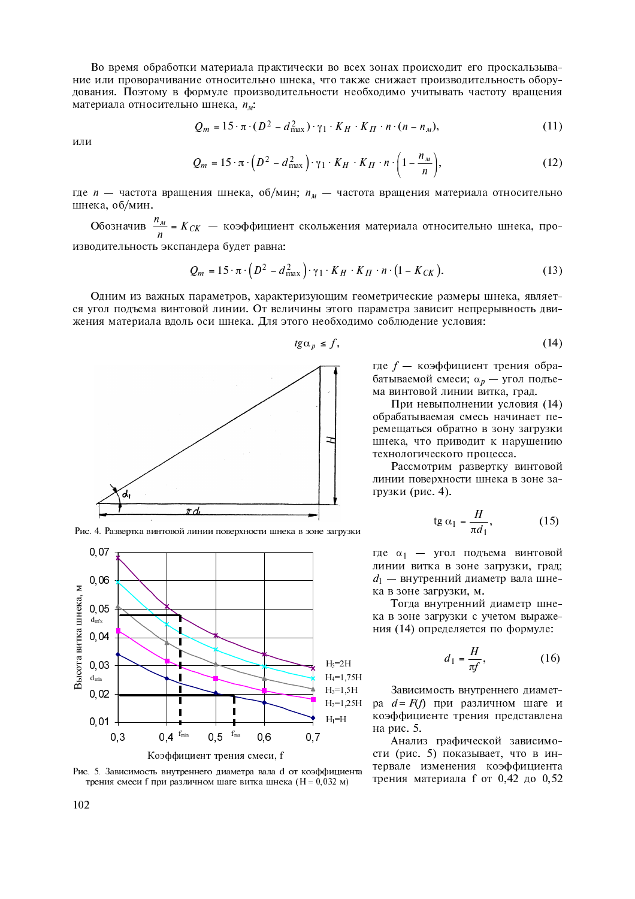Во время обработки материала практически во всех зонах происходит его проскальзывание или проворачивание относительно шнека, что также снижает производительность оборудования. Поэтому в формуле производительности необходимо учитывать частоту вращения материала относительно шнека,  $n_u$ .

$$
Q_m = 15 \cdot \pi \cdot (D^2 - d_{\text{max}}^2) \cdot \gamma_1 \cdot K_H \cdot K_H \cdot n \cdot (n - n_M), \qquad (11)
$$

или

$$
Q_m = 15 \cdot \pi \cdot \left( D^2 - d_{\text{max}}^2 \right) \cdot \gamma_1 \cdot K_H \cdot K_H \cdot n \cdot \left( 1 - \frac{n_M}{n} \right), \tag{12}
$$

где  $n-$  частота вращения шнека, об/мин;  $n_{u}$  — частота вращения материала относительно шнека, об/мин.

Обозначив  $\frac{n_M}{n}$  =  $K_{CK}$  — коэффициент скольжения материала относительно шнека, про-

изводительность экспандера будет равна:

$$
Q_m = 15 \cdot \pi \cdot \left(D^2 - d_{\text{max}}^2\right) \cdot \gamma_1 \cdot K_H \cdot K_H \cdot n \cdot \left(1 - K_{CK}\right). \tag{13}
$$

Одним из важных параметров, характеризующим геометрические размеры шнека, является угол подъема винтовой линии. От величины этого параметра зависит непрерывность движения материала вдоль оси шнека. Для этого необходимо соблюдение условия:



 $tg\alpha_p \leq f,$  $(14)$ 

где f — коэффициент трения обрабатываемой смеси;  $\alpha_p$  — угол подъема винтовой линии витка, град.

При невыполнении условия (14) обрабатываемая смесь начинает перемещаться обратно в зону загрузки шнека, что приводит к нарушению технологического процесса.

Рассмотрим развертку винтовой линии поверхности шнека в зоне загрузки (рис. 4).

$$
\operatorname{tg}\alpha_1 = \frac{H}{\pi d_1},\tag{15}
$$

где  $\alpha_1$  — угол подъема винтовой линии витка в зоне загрузки, град;  $d_1$  — внутренний диаметр вала шнека в зоне загрузки, м.

Тогда внутренний диаметр шнека в зоне загрузки с учетом выражения (14) определяется по формуле:

$$
d_1 = \frac{H}{\pi f},\tag{16}
$$

Зависимость внутреннего диаметра  $d = F(f)$  при различном шаге и коэффициенте трения представлена на рис. 5.

Анализ графической зависимости (рис. 5) показывает, что в интервале изменения коэффициента трения материала f от 0,42 до 0,52

Рис. 4. Развертка винтовой линии поверхности шнека в зоне загрузки



Рис. 5. Зависимость внутреннего диаметра вала d от коэффициента трения смеси f при различном шаге витка шнека (H = 0,032 м)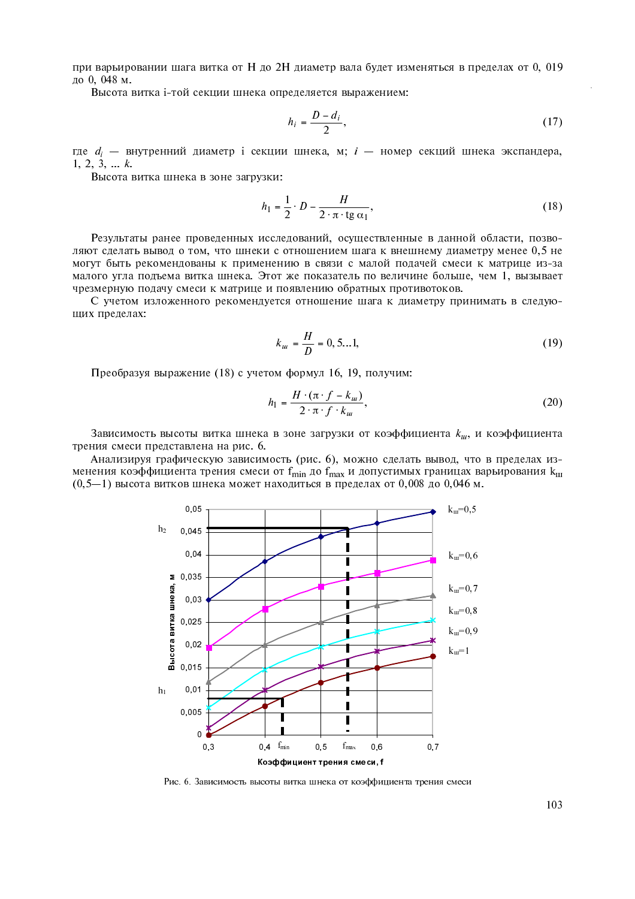при варьировании шага витка от Н до 2Н диаметр вала будет изменяться в пределах от 0, 019 до 0, 048 м.

Высота витка і-той секции шнека определяется выражением:

$$
h_i = \frac{D - d_i}{2},\tag{17}
$$

где  $d_i$  — внутренний диаметр і секции шнека, м; і — номер секций шнека экспандера,  $1, 2, 3, \ldots k.$ 

Высота витка шнека в зоне загрузки:

$$
h_1 = \frac{1}{2} \cdot D - \frac{H}{2 \cdot \pi \cdot \text{tg } \alpha_1},\tag{18}
$$

Результаты ранее проведенных исследований, осуществленные в данной области, позволяют сделать вывод о том, что шнеки с отношением шага к внешнему диаметру менее 0,5 не могут быть рекомендованы к применению в связи с малой подачей смеси к матрице из-за малого угла подъема витка шнека. Этот же показатель по величине больше, чем 1, вызывает чрезмерную подачу смеси к матрице и появлению обратных противотоков.

С учетом изложенного рекомендуется отношение шага к диаметру принимать в следуюших пределах:

$$
k_{u} = \frac{H}{D} = 0, 5...1,
$$
\n(19)

Преобразуя выражение (18) с учетом формул 16, 19, получим:

$$
h_1 = \frac{H \cdot (\pi \cdot f - k_w)}{2 \cdot \pi \cdot f \cdot k_w},
$$
\n(20)

Зависимость высоты витка шнека в зоне загрузки от коэффициента  $k_{\mu}$ , и коэффициента трения смеси представлена на рис. 6.

Анализируя графическую зависимость (рис. 6), можно сделать вывод, что в пределах изменения коэффициента трения смеси от  $f_{min}$  до  $f_{max}$  и допустимых границах варьирования  $k_{m}$  $(0,5-1)$  высота витков шнека может находиться в пределах от 0,008 до 0,046 м.



Рис. 6. Зависимость высоты витка шнека от коэффициента трения смеси